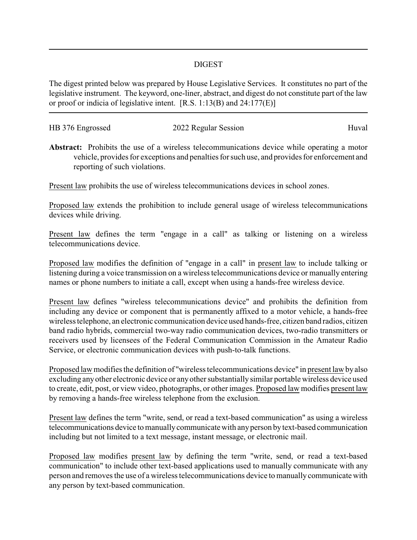## DIGEST

The digest printed below was prepared by House Legislative Services. It constitutes no part of the legislative instrument. The keyword, one-liner, abstract, and digest do not constitute part of the law or proof or indicia of legislative intent. [R.S. 1:13(B) and 24:177(E)]

| HB 376 Engrossed | 2022 Regular Session | Huval |
|------------------|----------------------|-------|
|                  |                      |       |

**Abstract:** Prohibits the use of a wireless telecommunications device while operating a motor vehicle, provides for exceptions and penalties for such use, and provides for enforcement and reporting of such violations.

Present law prohibits the use of wireless telecommunications devices in school zones.

Proposed law extends the prohibition to include general usage of wireless telecommunications devices while driving.

Present law defines the term "engage in a call" as talking or listening on a wireless telecommunications device.

Proposed law modifies the definition of "engage in a call" in present law to include talking or listening during a voice transmission on a wireless telecommunications device or manually entering names or phone numbers to initiate a call, except when using a hands-free wireless device.

Present law defines "wireless telecommunications device" and prohibits the definition from including any device or component that is permanently affixed to a motor vehicle, a hands-free wireless telephone, an electronic communication device used hands-free, citizen band radios, citizen band radio hybrids, commercial two-way radio communication devices, two-radio transmitters or receivers used by licensees of the Federal Communication Commission in the Amateur Radio Service, or electronic communication devices with push-to-talk functions.

Proposed law modifies the definition of "wireless telecommunications device" in present law byalso excluding anyother electronic device or anyother substantially similar portable wireless device used to create, edit, post, or view video, photographs, or other images. Proposed law modifies present law by removing a hands-free wireless telephone from the exclusion.

Present law defines the term "write, send, or read a text-based communication" as using a wireless telecommunications device to manuallycommunicate with anyperson bytext-based communication including but not limited to a text message, instant message, or electronic mail.

Proposed law modifies present law by defining the term "write, send, or read a text-based communication" to include other text-based applications used to manually communicate with any person and removes the use of a wireless telecommunications device to manuallycommunicate with any person by text-based communication.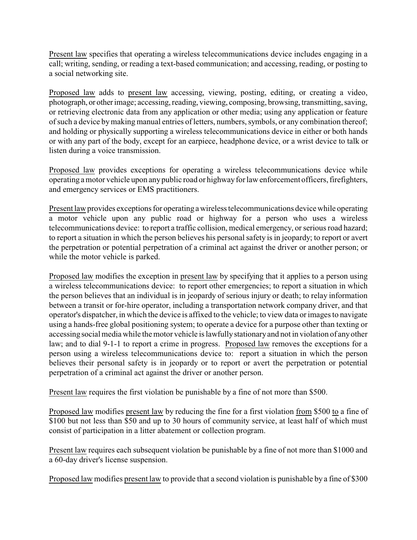Present law specifies that operating a wireless telecommunications device includes engaging in a call; writing, sending, or reading a text-based communication; and accessing, reading, or posting to a social networking site.

Proposed law adds to present law accessing, viewing, posting, editing, or creating a video, photograph, or otherimage; accessing, reading, viewing, composing, browsing, transmitting, saving, or retrieving electronic data from any application or other media; using any application or feature of such a device bymaking manual entries of letters, numbers, symbols, or any combination thereof; and holding or physically supporting a wireless telecommunications device in either or both hands or with any part of the body, except for an earpiece, headphone device, or a wrist device to talk or listen during a voice transmission.

Proposed law provides exceptions for operating a wireless telecommunications device while operating a motor vehicle upon anypublic road or highwayfor law enforcement officers, firefighters, and emergency services or EMS practitioners.

Present law provides exceptions for operating awireless telecommunications device while operating a motor vehicle upon any public road or highway for a person who uses a wireless telecommunications device: to report a traffic collision, medical emergency, or serious road hazard; to report a situation in which the person believes his personal safety is in jeopardy; to report or avert the perpetration or potential perpetration of a criminal act against the driver or another person; or while the motor vehicle is parked.

Proposed law modifies the exception in present law by specifying that it applies to a person using a wireless telecommunications device: to report other emergencies; to report a situation in which the person believes that an individual is in jeopardy of serious injury or death; to relay information between a transit or for-hire operator, including a transportation network company driver, and that operator's dispatcher, in which the device is affixed to the vehicle; to view data or images to navigate using a hands-free global positioning system; to operate a device for a purpose other than texting or accessing social media while the motor vehicle is lawfully stationaryand not in violation of anyother law; and to dial 9-1-1 to report a crime in progress. Proposed law removes the exceptions for a person using a wireless telecommunications device to: report a situation in which the person believes their personal safety is in jeopardy or to report or avert the perpetration or potential perpetration of a criminal act against the driver or another person.

Present law requires the first violation be punishable by a fine of not more than \$500.

Proposed law modifies present law by reducing the fine for a first violation from \$500 to a fine of \$100 but not less than \$50 and up to 30 hours of community service, at least half of which must consist of participation in a litter abatement or collection program.

Present law requires each subsequent violation be punishable by a fine of not more than \$1000 and a 60-day driver's license suspension.

Proposed law modifies present law to provide that a second violation is punishable by a fine of \$300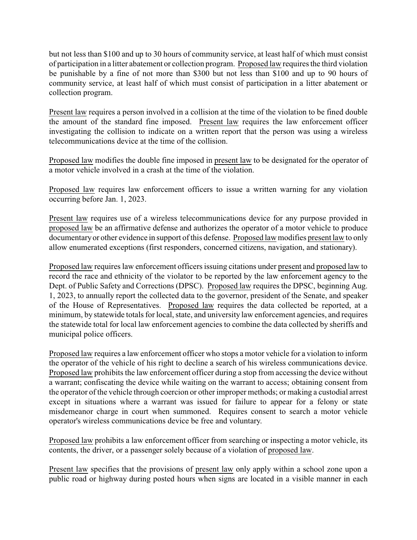but not less than \$100 and up to 30 hours of community service, at least half of which must consist of participation in a litter abatement or collection program. Proposed law requires the third violation be punishable by a fine of not more than \$300 but not less than \$100 and up to 90 hours of community service, at least half of which must consist of participation in a litter abatement or collection program.

Present law requires a person involved in a collision at the time of the violation to be fined double the amount of the standard fine imposed. Present law requires the law enforcement officer investigating the collision to indicate on a written report that the person was using a wireless telecommunications device at the time of the collision.

Proposed law modifies the double fine imposed in present law to be designated for the operator of a motor vehicle involved in a crash at the time of the violation.

Proposed law requires law enforcement officers to issue a written warning for any violation occurring before Jan. 1, 2023.

Present law requires use of a wireless telecommunications device for any purpose provided in proposed law be an affirmative defense and authorizes the operator of a motor vehicle to produce documentaryor other evidence in support of this defense. Proposed law modifies present law to only allow enumerated exceptions (first responders, concerned citizens, navigation, and stationary).

Proposed law requires law enforcement officers issuing citations under present and proposed law to record the race and ethnicity of the violator to be reported by the law enforcement agency to the Dept. of Public Safety and Corrections (DPSC). Proposed law requires the DPSC, beginning Aug. 1, 2023, to annually report the collected data to the governor, president of the Senate, and speaker of the House of Representatives. Proposed law requires the data collected be reported, at a minimum, by statewide totals for local, state, and university law enforcement agencies, and requires the statewide total for local law enforcement agencies to combine the data collected by sheriffs and municipal police officers.

Proposed law requires a law enforcement officer who stops a motor vehicle for a violation to inform the operator of the vehicle of his right to decline a search of his wireless communications device. Proposed law prohibits the law enforcement officer during a stop from accessing the device without a warrant; confiscating the device while waiting on the warrant to access; obtaining consent from the operator of the vehicle through coercion or other improper methods; or making a custodial arrest except in situations where a warrant was issued for failure to appear for a felony or state misdemeanor charge in court when summoned. Requires consent to search a motor vehicle operator's wireless communications device be free and voluntary.

Proposed law prohibits a law enforcement officer from searching or inspecting a motor vehicle, its contents, the driver, or a passenger solely because of a violation of proposed law.

Present law specifies that the provisions of present law only apply within a school zone upon a public road or highway during posted hours when signs are located in a visible manner in each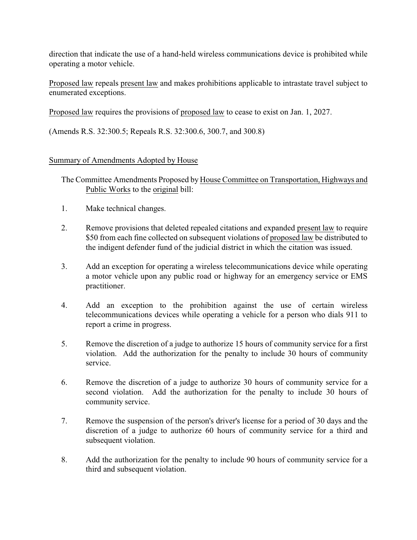direction that indicate the use of a hand-held wireless communications device is prohibited while operating a motor vehicle.

Proposed law repeals present law and makes prohibitions applicable to intrastate travel subject to enumerated exceptions.

Proposed law requires the provisions of proposed law to cease to exist on Jan. 1, 2027.

(Amends R.S. 32:300.5; Repeals R.S. 32:300.6, 300.7, and 300.8)

## Summary of Amendments Adopted by House

The Committee Amendments Proposed by House Committee on Transportation, Highways and Public Works to the original bill:

- 1. Make technical changes.
- 2. Remove provisions that deleted repealed citations and expanded present law to require \$50 from each fine collected on subsequent violations of proposed law be distributed to the indigent defender fund of the judicial district in which the citation was issued.
- 3. Add an exception for operating a wireless telecommunications device while operating a motor vehicle upon any public road or highway for an emergency service or EMS practitioner.
- 4. Add an exception to the prohibition against the use of certain wireless telecommunications devices while operating a vehicle for a person who dials 911 to report a crime in progress.
- 5. Remove the discretion of a judge to authorize 15 hours of community service for a first violation. Add the authorization for the penalty to include 30 hours of community service.
- 6. Remove the discretion of a judge to authorize 30 hours of community service for a second violation. Add the authorization for the penalty to include 30 hours of community service.
- 7. Remove the suspension of the person's driver's license for a period of 30 days and the discretion of a judge to authorize 60 hours of community service for a third and subsequent violation.
- 8. Add the authorization for the penalty to include 90 hours of community service for a third and subsequent violation.